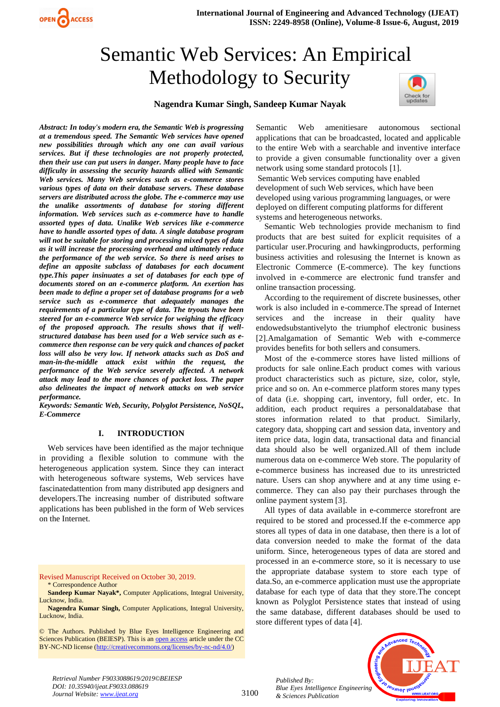# Semantic Web Services: An Empirical Methodology to Security



## **Nagendra Kumar Singh, Sandeep Kumar Nayak**

*Abstract: In today's modern era, the Semantic Web is progressing at a tremendous speed. The Semantic Web services have opened new possibilities through which any one can avail various services. But if these technologies are not properly protected, then their use can put users in danger. Many people have to face difficulty in assessing the security hazards allied with Semantic Web services. Many Web services such as e-commerce stores various types of data on their database servers. These database servers are distributed across the globe. The e-commerce may use the unalike assortments of database for storing different information. Web services such as e-commerce have to handle assorted types of data. Unalike Web services like e-commerce have to handle assorted types of data. A single database program will not be suitable for storing and processing mixed types of data as it will increase the processing overhead and ultimately reduce the performance of the web service. So there is need arises to define an apposite subclass of databases for each document type.This paper insinuates a set of databases for each type of documents stored on an e-commerce platform. An exertion has been made to define a proper set of database programs for a web service such as e-commerce that adequately manages the requirements of a particular type of data. The tryouts have been steered for an e-commerce Web service for weighing the efficacy of the proposed approach. The results shows that if wellstructured database has been used for a Web service such as ecommerce then response can be very quick and chances of packet loss will also be very low. If network attacks such as DoS and man-in-the-middle attack exist within the request, the performance of the Web service severely affected. A network attack may lead to the more chances of packet loss. The paper also delineates the impact of network attacks on web service performance.*

OPEN CACCESS

*Keywords: Semantic Web, Security, Polyglot Persistence, NoSQL, E-Commerce*

#### **I. INTRODUCTION**

Web services have been identified as the major technique in providing a flexible solution to commune with the heterogeneous application system. Since they can interact with heterogeneous software systems, Web services have fascinatedattention from many distributed app designers and developers.The increasing number of distributed software applications has been published in the form of Web services on the Internet.

Revised Manuscript Received on October 30, 2019. \* Correspondence Author

- **Sandeep Kumar Nayak\*,** Computer Applications, Integral University, Lucknow, India.
- **Nagendra Kumar Singh,** Computer Applications, Integral University, Lucknow, India.

© The Authors. Published by Blue Eyes Intelligence Engineering and Sciences Publication (BEIESP). This is a[n open access](https://www.openaccess.nl/en/open-publications) article under the CC BY-NC-ND license [\(http://creativecommons.org/licenses/by-nc-nd/4.0/\)](http://creativecommons.org/licenses/by-nc-nd/4.0/)

Semantic Web amenitiesare autonomous sectional applications that can be broadcasted, located and applicable to the entire Web with a searchable and inventive interface to provide a given consumable functionality over a given network using some standard protocols [1]. Semantic Web services computing have enabled development of such Web services, which have been

developed using various programming languages, or were deployed on different computing platforms for different systems and heterogeneous networks.

Semantic Web technologies provide mechanism to find products that are best suited for explicit requisites of a particular user.Procuring and hawkingproducts, performing business activities and rolesusing the Internet is known as Electronic Commerce (E-commerce). The key functions involved in e-commerce are electronic fund transfer and online transaction processing.

According to the requirement of discrete businesses, other work is also included in e-commerce.The spread of Internet services and the increase in their quality have endowedsubstantivelyto the triumphof electronic business [2].Amalgamation of Semantic Web with e-commerce provides benefits for both sellers and consumers.

Most of the e-commerce stores have listed millions of products for sale online.Each product comes with various product characteristics such as picture, size, color, style, price and so on. An e-commerce platform stores many types of data (i.e. shopping cart, inventory, full order, etc. In addition, each product requires a personaldatabase that stores information related to that product. Similarly, category data, shopping cart and session data, inventory and item price data, login data, transactional data and financial data should also be well organized.All of them include numerous data on e-commerce Web store. The popularity of e-commerce business has increased due to its unrestricted nature. Users can shop anywhere and at any time using ecommerce. They can also pay their purchases through the online payment system [3].

All types of data available in e-commerce storefront are required to be stored and processed.If the e-commerce app stores all types of data in one database, then there is a lot of data conversion needed to make the format of the data uniform. Since, heterogeneous types of data are stored and processed in an e-commerce store, so it is necessary to use the appropriate database system to store each type of data.So, an e-commerce application must use the appropriate database for each type of data that they store.The concept known as Polyglot Persistence states that instead of using the same database, different databases should be used to store different types of data [4].

*Published By: Blue Eyes Intelligence Engineering & Sciences Publication* 



*Retrieval Number F9033088619/2019©BEIESP DOI: 10.35940/ijeat.F9033.088619 Journal Website: www.ijeat.org*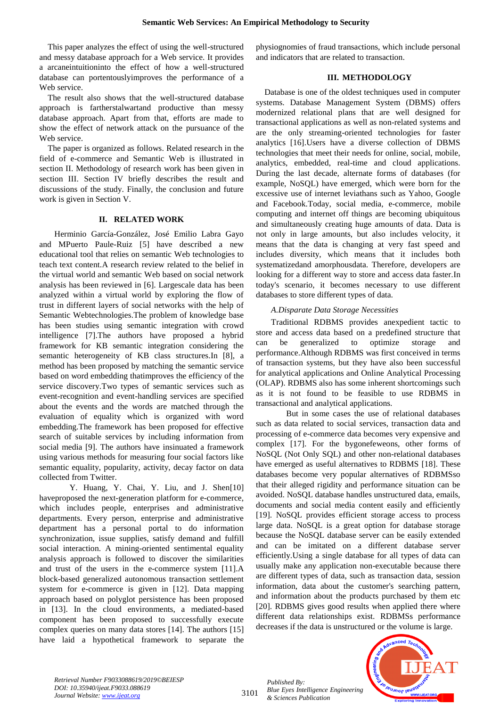This paper analyzes the effect of using the well-structured and messy database approach for a Web service. It provides a arcaneintuitioninto the effect of how a well-structured database can portentouslyimproves the performance of a Web service.

The result also shows that the well-structured database approach is fartherstalwartand productive than messy database approach. Apart from that, efforts are made to show the effect of network attack on the pursuance of the Web service.

The paper is organized as follows. Related research in the field of e-commerce and Semantic Web is illustrated in section II. Methodology of research work has been given in section III. Section IV briefly describes the result and discussions of the study. Finally, the conclusion and future work is given in Section V.

## **II. RELATED WORK**

Herminio García-González, José Emilio Labra Gayo and MPuerto Paule-Ruiz [5] have described a new educational tool that relies on semantic Web technologies to teach text content.A research review related to the belief in the virtual world and semantic Web based on social network analysis has been reviewed in [6]. Largescale data has been analyzed within a virtual world by exploring the flow of trust in different layers of social networks with the help of Semantic Webtechnologies.The problem of knowledge base has been studies using semantic integration with crowd intelligence [7].The authors have proposed a hybrid framework for KB semantic integration considering the semantic heterogeneity of KB class structures.In [8], a method has been proposed by matching the semantic service based on word embedding thatimproves the efficiency of the service discovery.Two types of semantic services such as event-recognition and event-handling services are specified about the events and the words are matched through the evaluation of equality which is organized with word embedding.The framework has been proposed for effective search of suitable services by including information from social media [9]. The authors have insinuated a framework using various methods for measuring four social factors like semantic equality, popularity, activity, decay factor on data collected from Twitter.

Y. Huang, Y. Chai, Y. Liu, and J. Shen[10] haveproposed the next-generation platform for e-commerce, which includes people, enterprises and administrative departments. Every person, enterprise and administrative department has a personal portal to do information synchronization, issue supplies, satisfy demand and fulfill social interaction. A mining-oriented sentimental equality analysis approach is followed to discover the similarities and trust of the users in the e-commerce system [11].A block-based generalized autonomous transaction settlement system for e-commerce is given in [12]. Data mapping approach based on polyglot persistence has been proposed in [13]. In the cloud environments, a mediated-based component has been proposed to successfully execute complex queries on many data stores [14]. The authors [15] have laid a hypothetical framework to separate the

physiognomies of fraud transactions, which include personal and indicators that are related to transaction.

## **III. METHODOLOGY**

Database is one of the oldest techniques used in computer systems. Database Management System (DBMS) offers modernized relational plans that are well designed for transactional applications as well as non-related systems and are the only streaming-oriented technologies for faster analytics [16].Users have a diverse collection of DBMS technologies that meet their needs for online, social, mobile, analytics, embedded, real-time and cloud applications. During the last decade, alternate forms of databases (for example, NoSQL) have emerged, which were born for the excessive use of internet leviathans such as Yahoo, Google and Facebook.Today, social media, e-commerce, mobile computing and internet off things are becoming ubiquitous and simultaneously creating huge amounts of data. Data is not only in large amounts, but also includes velocity, it means that the data is changing at very fast speed and includes diversity, which means that it includes both systematizedand amorphousdata. Therefore, developers are looking for a different way to store and access data faster.In today's scenario, it becomes necessary to use different databases to store different types of data.

#### *A.Disparate Data Storage Necessities*

Traditional RDBMS provides anexpedient tactic to store and access data based on a predefined structure that can be generalized to optimize storage and performance.Although RDBMS was first conceived in terms of transaction systems, but they have also been successful for analytical applications and Online Analytical Processing (OLAP). RDBMS also has some inherent shortcomings such as it is not found to be feasible to use RDBMS in transactional and analytical applications.

But in some cases the use of relational databases such as data related to social services, transaction data and processing of e-commerce data becomes very expensive and complex [17]. For the bygonefeweons, other forms of NoSQL (Not Only SQL) and other non-relational databases have emerged as useful alternatives to RDBMS [18]. These databases become very popular alternatives of RDBMSso that their alleged rigidity and performance situation can be avoided. NoSQL database handles unstructured data, emails, documents and social media content easily and efficiently [19]. NoSQL provides efficient storage access to process large data. NoSQL is a great option for database storage because the NoSQL database server can be easily extended and can be imitated on a different database server efficiently.Using a single database for all types of data can usually make any application non-executable because there are different types of data, such as transaction data, session information, data about the customer's searching pattern, and information about the products purchased by them etc [20]. RDBMS gives good results when applied there where different data relationships exist. RDBMSs performance decreases if the data is unstructured or the volume is large.



*Retrieval Number F9033088619/2019©BEIESP DOI: 10.35940/ijeat.F9033.088619 Journal Website: www.ijeat.org*

3101

*Published By: Blue Eyes Intelligence Engineering & Sciences Publication*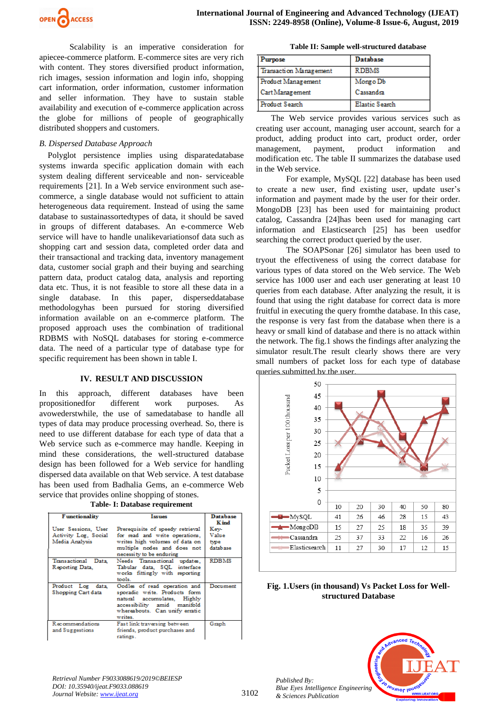

Scalability is an imperative consideration for apiecee-commerce platform. E-commerce sites are very rich with content. They stores diversified product information, rich images, session information and login info, shopping cart information, order information, customer information and seller information. They have to sustain stable availability and execution of e-commerce application across the globe for millions of people of geographically distributed shoppers and customers.

## *B. Dispersed Database Approach*

Polyglot persistence implies using disparatedatabase systems inwarda specific application domain with each system dealing different serviceable and non- serviceable requirements [21]. In a Web service environment such asecommerce, a single database would not sufficient to attain heterogeneous data requirement. Instead of using the same database to sustainassortedtypes of data, it should be saved in groups of different databases. An e-commerce Web service will have to handle unalikevariationsof data such as shopping cart and session data, completed order data and their transactional and tracking data, inventory management data, customer social graph and their buying and searching pattern data, product catalog data, analysis and reporting data etc. Thus, it is not feasible to store all these data in a single database. In this paper, disperseddatabase methodologyhas been pursued for storing diversified information available on an e-commerce platform. The proposed approach uses the combination of traditional RDBMS with NoSQL databases for storing e-commerce data. The need of a particular type of database type for specific requirement has been shown in table I.

#### **IV. RESULT AND DISCUSSION**

In this approach, different databases have been propositionedfor different work purposes. As avowederstwhile, the use of samedatabase to handle all types of data may produce processing overhead. So, there is need to use different database for each type of data that a Web service such as e-commerce may handle. Keeping in mind these considerations, the well-structured database design has been followed for a Web service for handling dispersed data available on that Web service. A test database has been used from Badhalia Gems, an e-commerce Web service that provides online shopping of stones.

|  |  | Table- I: Database requirement |
|--|--|--------------------------------|
|  |  |                                |

| <b>Functionality</b>                                          | <b>Issues</b>                                                                                                                                                            | <b>Database</b>                            |
|---------------------------------------------------------------|--------------------------------------------------------------------------------------------------------------------------------------------------------------------------|--------------------------------------------|
| User Sessions, User<br>Activity Log. Social<br>Media Analysis | Prerequisite of speedy retrieval<br>for read and write operations,<br>writes high volumes of data on<br>multiple nodes and does not<br>necessity to be enduring          | K ind<br>Kev-<br>Value<br>type<br>database |
| Transactional Data<br>Reporting Data.                         | Needs Transactional updates.<br>Tabular data. SOL interface<br>works fittingly with reporting<br>tools.                                                                  | <b>RDBMS</b>                               |
| Product Log data<br>Shopping Cart data                        | Oodles of read operation and<br>sporadic write. Products form<br>natural accumulates, Highly<br>accessibility amid manifold<br>whereabouts. Can unify erratic<br>writes. | Document                                   |
| Recommendations<br>and Suggestions                            | Fast link traversing between<br>friends, product purchases and<br>ratings.                                                                                               | Graph                                      |

**Table II: Sample well-structured database**

| Purpose                | Database       |
|------------------------|----------------|
| Transaction Management | <b>RDBMS</b>   |
| Product Management     | Mongo Db       |
| Cart Management        | Cassandra      |
| Product Search         | Elastic Search |

The Web service provides various services such as creating user account, managing user account, search for a product, adding product into cart, product order, order management, payment, product information and modification etc. The table II summarizes the database used in the Web service.

For example, MySQL [22] database has been used to create a new user, find existing user, update user's information and payment made by the user for their order. MongoDB [23] has been used for maintaining product catalog, Cassandra [24]has been used for managing cart information and Elasticsearch [25] has been usedfor searching the correct product queried by the user.

The SOAPSonar [26] simulator has been used to tryout the effectiveness of using the correct database for various types of data stored on the Web service. The Web service has 1000 user and each user generating at least 10 queries from each database. After analyzing the result, it is found that using the right database for correct data is more fruitful in executing the query fromthe database. In this case, the response is very fast from the database when there is a heavy or small kind of database and there is no attack within the network. The fig.1 shows the findings after analyzing the simulator result.The result clearly shows there are very small numbers of packet loss for each type of database queries submitted by the user.



**Fig. 1.Users (in thousand) Vs Packet Loss for Wellstructured Database**



*Retrieval Number F9033088619/2019©BEIESP DOI: 10.35940/ijeat.F9033.088619 Journal Website: www.ijeat.org*

*Published By:*

*& Sciences Publication*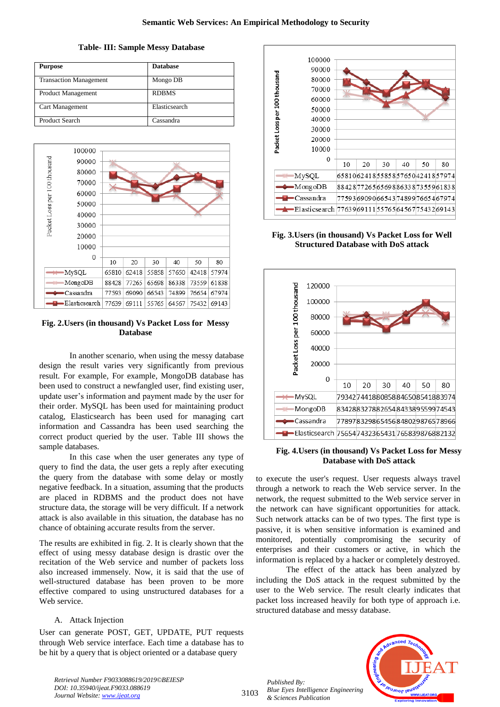#### **Table- III: Sample Messy Database**

| <b>Purpose</b>                | <b>Database</b> |
|-------------------------------|-----------------|
| <b>Transaction Management</b> | Mongo DB        |
| Product Management            | <b>RDBMS</b>    |
| Cart Management               | Elasticsearch   |
| Product Search                | Cassandra       |



# **Fig. 2.Users (in thousand) Vs Packet Loss for Messy Database**

In another scenario, when using the messy database design the result varies very significantly from previous result. For example, For example, MongoDB database has been used to construct a newfangled user, find existing user, update user's information and payment made by the user for their order. MySQL has been used for maintaining product catalog, Elasticsearch has been used for managing cart information and Cassandra has been used searching the correct product queried by the user. Table III shows the sample databases.

In this case when the user generates any type of query to find the data, the user gets a reply after executing the query from the database with some delay or mostly negative feedback. In a situation, assuming that the products are placed in RDBMS and the product does not have structure data, the storage will be very difficult. If a network attack is also available in this situation, the database has no chance of obtaining accurate results from the server.

The results are exhibited in fig. 2. It is clearly shown that the effect of using messy database design is drastic over the recitation of the Web service and number of packets loss also increased immensely. Now, it is said that the use of well-structured database has been proven to be more effective compared to using unstructured databases for a Web service.

## A. Attack Injection

User can generate POST, GET, UPDATE, PUT requests through Web service interface. Each time a database has to be hit by a query that is object oriented or a database query



# **Fig. 3.Users (in thousand) Vs Packet Loss for Well Structured Database with DoS attack**



#### **Fig. 4.Users (in thousand) Vs Packet Loss for Messy Database with DoS attack**

to execute the user's request. User requests always travel through a network to reach the Web service server. In the network, the request submitted to the Web service server in the network can have significant opportunities for attack. Such network attacks can be of two types. The first type is passive, it is when sensitive information is examined and monitored, potentially compromising the security of enterprises and their customers or active, in which the information is replaced by a hacker or completely destroyed.

The effect of the attack has been analyzed by including the DoS attack in the request submitted by the user to the Web service. The result clearly indicates that packet loss increased heavily for both type of approach i.e. structured database and messy database.

*Published By: Blue Eyes Intelligence Engineering & Sciences Publication* 



*Retrieval Number F9033088619/2019©BEIESP DOI: 10.35940/ijeat.F9033.088619 Journal Website: www.ijeat.org*

3103